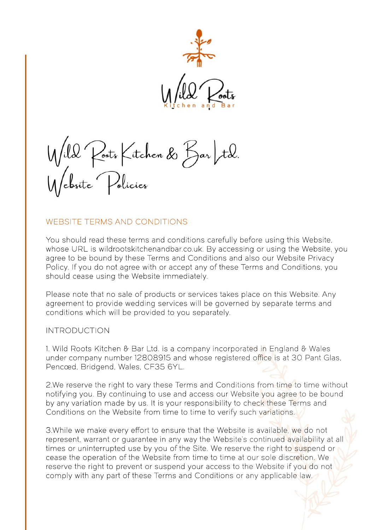

Wild Posts Kitchen & Bar Itd.<br>Website Policies

#### WEBSITE TERMS AND CONDITIONS

You should read these terms and conditions carefully before using this Website, whose URL is wildrootskitchenandbar.co.uk. By accessing or using the Website, you agree to be bound by these Terms and Conditions and also our Website Privacy Policy. If you do not agree with or accept any of these Terms and Conditions, you should cease using the Website immediately.

Please note that no sale of products or services takes place on this Website. Any agreement to provide wedding services will be governed by separate terms and conditions which will be provided to you separately.

#### INTRODUCTION

1. Wild Roots Kitchen & Bar Ltd. is a company incorporated in England & Wales under company number 12808915 and whose registered office is at 30 Pant Glas, Pencœd, Bridgend, Wales, CF35 6YL.

2.We reserve the right to vary these Terms and Conditions from time to time without notifying you. By continuing to use and access our Website you agree to be bound by any variation made by us. It is your responsibility to check these Terms and Conditions on the Website from time to time to verify such variations.

3.While we make every effort to ensure that the Website is available, we do not represent, warrant or guarantee in any way the Website's continued availability at all times or uninterrupted use by you of the Site. We reserve the right to suspend or cease the operation of the Website from time to time at our sole discretion. We reserve the right to prevent or suspend your access to the Website if you do not comply with any part of these Terms and Conditions or any applicable law.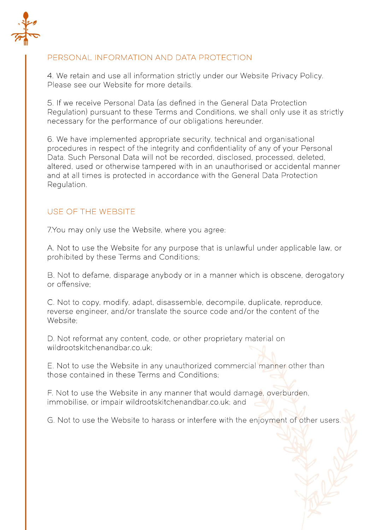

# PERSONAL INFORMATION AND DATA PROTECTION

4. We retain and use all information strictly under our Website Privacy Policy. Please see our Website for more details.

5. If we receive Personal Data (as defined in the General Data Protection Regulation) pursuant to these Terms and Conditions, we shall only use it as strictly necessary for the performance of our obligations hereunder.

6. We have implemented appropriate security, technical and organisational procedures in respect of the integrity and confidentiality of any of your Personal Data. Such Personal Data will not be recorded, disclosed, processed, deleted, altered, used or otherwise tampered with in an unauthorised or accidental manner and at all times is protected in accordance with the General Data Protection Regulation.

# USE OF THE WEBSITE

7.You may only use the Website, where you agree:

A. Not to use the Website for any purpose that is unlawful under applicable law, or prohibited by these Terms and Conditions;

B. Not to defame, disparage anybody or in a manner which is obscene, derogatory or offensive;

C. Not to copy, modify, adapt, disassemble, decompile, duplicate, reproduce, reverse engineer, and/or translate the source code and/or the content of the Website;

D. Not reformat any content, code, or other proprietary material on wildrootskitchenandbar.co.uk;

E. Not to use the Website in any unauthorized commercial manner other than those contained in these Terms and Conditions;

F. Not to use the Website in any manner that would damage, overburden, immobilise, or impair wildrootskitchenandbar.co.uk; and

G. Not to use the Website to harass or interfere with the enjoyment of other users.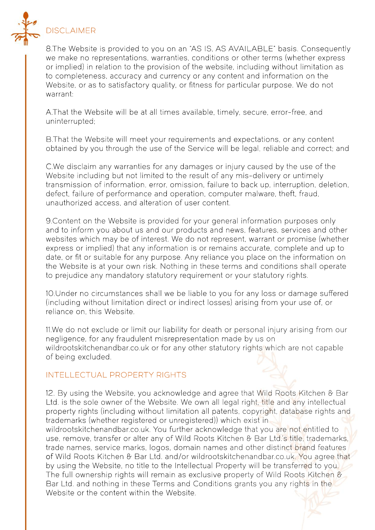

8.The Website is provided to you on an "AS IS, AS AVAILABLE" basis. Consequently we make no representations, warranties, conditions or other terms (whether express or implied) in relation to the provision of the website, including without limitation as to completeness, accuracy and currency or any content and information on the Website, or as to satisfactory quality, or fitness for particular purpose. We do not warrant:

A.That the Website will be at all times available, timely, secure, error-free, and uninterrupted;

B.That the Website will meet your requirements and expectations, or any content obtained by you through the use of the Service will be legal, reliable and correct; and

C.We disclaim any warranties for any damages or injury caused by the use of the Website including but not limited to the result of any mis-delivery or untimely transmission of information, error, omission, failure to back up, interruption, deletion, defect, failure of performance and operation, computer malware, theft, fraud, unauthorized access, and alteration of user content.

9.Content on the Website is provided for your general information purposes only and to inform you about us and our products and news, features, services and other websites which may be of interest. We do not represent, warrant or promise (whether express or implied) that any information is or remains accurate, complete and up to date, or fit or suitable for any purpose. Any reliance you place on the information on the Website is at your own risk. Nothing in these terms and conditions shall operate to prejudice any mandatory statutory requirement or your statutory rights.

10.Under no circumstances shall we be liable to you for any loss or damage suffered (including without limitation direct or indirect losses) arising from your use of, or reliance on, this Website.

11.We do not exclude or limit our liability for death or personal injury arising from our negligence, for any fraudulent misrepresentation made by us on wildrootskitchenandbar.co.uk or for any other statutory rights which are not capable of being excluded.

#### INTELLECTUAL PROPERTY RIGHTS

12. By using the Website, you acknowledge and agree that Wild Roots Kitchen & Bar Ltd. is the sole owner of the Website. We own all legal right, title and any intellectual property rights (including without limitation all patents, copyright, database rights and trademarks (whether registered or unregistered)) which exist in wildrootskitchenandbar.co.uk. You further acknowledge that you are not entitled to use, remove, transfer or alter any of Wild Roots Kitchen & Bar Ltd.'s title, trademarks, trade names, service marks, logos, domain names and other distinct brand features of Wild Roots Kitchen & Bar Ltd. and/or wildrootskitchenandbar.co.uk. You agree that by using the Website, no title to the Intellectual Property will be transferred to you. The full ownership rights will remain as exclusive property of Wild Roots Kitchen & Bar Ltd. and nothing in these Terms and Conditions grants you any rights in the Website or the content within the Website.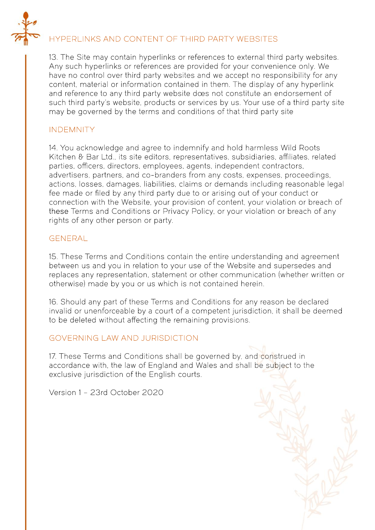

# HYPERLINKS AND CONTENT OF THIRD PARTY WEBSITES

13. The Site may contain hyperlinks or references to external third party websites. Any such hyperlinks or references are provided for your convenience only. We have no control over third party websites and we accept no responsibility for any content, material or information contained in them. The display of any hyperlink and reference to any third party website dœs not constitute an endorsement of such third party's website, products or services by us. Your use of a third party site may be governed by the terms and conditions of that third party site

## INDEMNITY

14. You acknowledge and agree to indemnify and hold harmless Wild Roots Kitchen & Bar Ltd., its site editors, representatives, subsidiaries, affiliates, related parties, officers, directors, employees, agents, independent contractors, advertisers, partners, and co-branders from any costs, expenses, proceedings, actions, losses, damages, liabilities, claims or demands including reasonable legal fee made or filed by any third party due to or arising out of your conduct or connection with the Website, your provision of content, your violation or breach of these Terms and Conditions or Privacy Policy, or your violation or breach of any rights of any other person or party.

### GENERAL

15. These Terms and Conditions contain the entire understanding and agreement between us and you in relation to your use of the Website and supersedes and replaces any representation, statement or other communication (whether written or otherwise) made by you or us which is not contained herein.

16. Should any part of these Terms and Conditions for any reason be declared invalid or unenforceable by a court of a competent jurisdiction, it shall be deemed to be deleted without affecting the remaining provisions.

## GOVERNING LAW AND JURISDICTION

17. These Terms and Conditions shall be governed by, and construed in accordance with, the law of England and Wales and shall be subject to the exclusive jurisdiction of the English courts.

Version 1 – 23rd October 2020

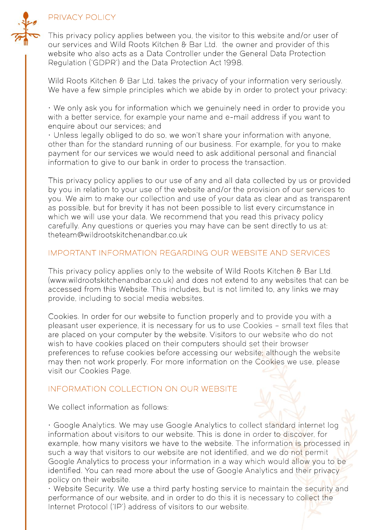



This privacy policy applies between you, the visitor to this website and/or user of our services and Wild Roots Kitchen & Bar Ltd. the owner and provider of this website who also acts as a Data Controller under the General Data Protection Regulation ('GDPR') and the Data Protection Act 1998.

Wild Roots Kitchen & Bar Ltd. takes the privacy of your information very seriously. We have a few simple principles which we abide by in order to protect your privacy:

• We only ask you for information which we genuinely need in order to provide you with a better service, for example your name and e-mail address if you want to enquire about our services; and

• Unless legally obliged to do so, we won't share your information with anyone, other than for the standard running of our business. For example, for you to make payment for our services we would need to ask additional personal and financial information to give to our bank in order to process the transaction.

This privacy policy applies to our use of any and all data collected by us or provided by you in relation to your use of the website and/or the provision of our services to you. We aim to make our collection and use of your data as clear and as transparent as possible, but for brevity it has not been possible to list every circumstance in which we will use your data. We recommend that you read this privacy policy carefully. Any questions or queries you may have can be sent directly to us at: theteam@wildrootskitchenandbar.co.uk

### IMPORTANT INFORMATION REGARDING OUR WEBSITE AND SERVICES

This privacy policy applies only to the website of Wild Roots Kitchen & Bar Ltd. (www.wildrootskitchenandbar.co.uk) and dœs not extend to any websites that can be accessed from this Website. This includes, but is not limited to, any links we may provide, including to social media websites.

Cookies.In order for our website to function properly and to provide you with a pleasant user experience, it is necessary for us to use Cookies – small text files that are placed on your computer by the website. Visitors to our website who do not wish to have cookies placed on their computers should set their browser preferences to refuse cookies before accessing our website; although the website may then not work properly. For more information on the Cookies we use, please visit our Cookies Page.

## INFORMATION COLLECTION ON OUR WEBSITE

We collect information as follows:

• Google Analytics. We may use Google Analytics to collect standard internet log information about visitors to our website. This is done in order to discover, for example, how many visitors we have to the website. The information is processed in such a way that visitors to our website are not identified, and we do not permit Google Analytics to process your information in a way which would allow you to be identified. You can read more about the use of Google Analytics and their privacy policy on their website.

• Website Security.We use a third party hosting service to maintain the security and performance of our website, and in order to do this it is necessary to collect the Internet Protocol ('IP') address of visitors to our website.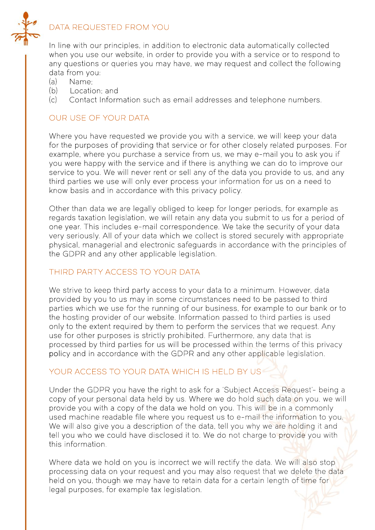

## DATA REQUESTED FROM YOU

In line with our principles, in addition to electronic data automatically collected when you use our website, in order to provide you with a service or to respond to any questions or queries you may have, we may request and collect the following data from you:

- (a) Name;
- (b) Location; and
- (c) Contact Information such as email addresses and telephone numbers.

## OUR USE OF YOUR DATA

Where you have requested we provide you with a service, we will keep your data for the purposes of providing that service or for other closely related purposes. For example, where you purchase a service from us, we may e-mail you to ask you if you were happy with the service and if there is anything we can do to improve our service to you. We will never rent or sell any of the data you provide to us, and any third parties we use will only ever process your information for us on a need to know basis and in accordance with this privacy policy.

Other than data we are legally obliged to keep for longer periods, for example as regards taxation legislation, we will retain any data you submit to us for a period of one year. This includes e-mail correspondence. We take the security of your data very seriously. All of your data which we collect is stored securely with appropriate physical, managerial and electronic safeguards in accordance with the principles of the GDPR and any other applicable legislation.

# THIRD PARTY ACCESS TO YOUR DATA

We strive to keep third party access to your data to a minimum. However, data provided by you to us may in some circumstances need to be passed to third parties which we use for the running of our business, for example to our bank or to the hosting provider of our website. Information passed to third parties is used only to the extent required by them to perform the services that we request. Any use for other purposes is strictly prohibited. Furthermore, any data that is processed by third parties for us will be processed within the terms of this privacy policy and in accordance with the GDPR and any other applicable legislation.

# YOUR ACCESS TO YOUR DATA WHICH IS HELD BY US

Under the GDPRyou have the right to ask for a 'Subject Access Request'-being a copy of your personal data held by us. Where we do hold such data on you, we will provide you with a copy of the data we hold on you. This will be in a commonly used machine readable file where you request us to e-mail the information to you. We will also give you a description of the data, tell you why we are holding it and tell you who we could have disclosed it to. We do not charge to provide you with this information.

Where data we hold on you is incorrect we will rectify the data. We will also stop processing data on your request and you may also request that we delete the data held on you, though we may have to retain data for a certain length of time for legal purposes, for example tax legislation.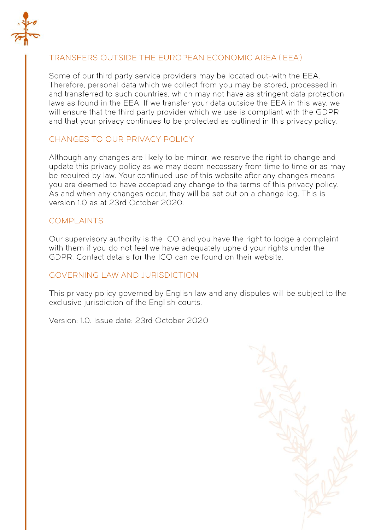

# TRANSFERS OUTSIDE THE EUROPEAN ECONOMIC AREA ('EEA')

Some of our third party service providers may be located out-with the EEA. Therefore, personal data which we collect from you may be stored, processed in and transferred to such countries, which may not have as stringent data protection laws as found in the EEA. If we transfer your data outside the EEA in this way, we will ensure that the third party provider which we use is compliant with the GDPR and that your privacy continues to be protected as outlined in this privacy policy.

# CHANGES TO OUR PRIVACY POLICY

Although any changes are likely to be minor, we reserve the right to change and update this privacy policy as we may deem necessary from time to time or as may be required by law. Your continued use of this website after any changes means you are deemed to have accepted any change to the terms of this privacy policy. As and when any changes occur, they will be set out on a change log. This is version 1.0 as at 23rd October 2020.

### COMPLAINTS

Our supervisory authority is the ICO and you have the right to lodge a complaint with them if you do not feel we have adequately upheld your rights under the GDPR. Contact details for the ICO can be found on their website.

#### GOVERNING LAW AND JURISDICTION

This privacy policy governed by English law and any disputes will be subject to the exclusive jurisdiction of the English courts.

Version: 1.0. Issue date: 23rd October 2020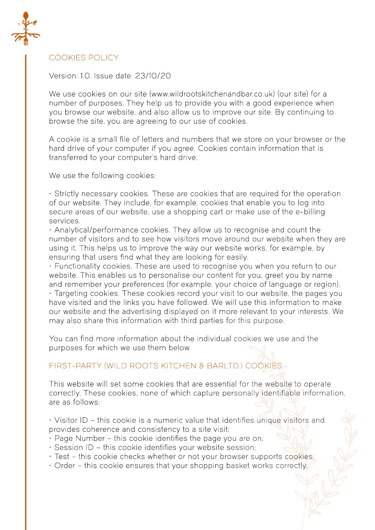

## COOKIES POLICY

Version: 1.0. Issue date: 23/10/20

We use cookies on our site (www.wildrootskitchenandbar.co.uk) (our site) for a number of purposes. They help us to provide you with a good experience when you browse our website, and also allow us to improve our site. By continuing to browse the site, you are agreeing to our use of cookies.

A cookie is a small file of letters and numbers that we store on your browser or the hard drive of your computer if you agree. Cookies contain information that is transferred to your computer's hard drive.

We use the following cookies:

• Strictly necessary cookies.These are cookies that are required for the operation of our website. They include, for example, cookies that enable you to log into secure areas of our website, use a shopping cart or make use of the e-billing services.

• Analytical/performance cookies.They allow us to recognise and count the number of visitors and to see how visitors move around our website when they are using it. This helps us to improve the way our website works, for example, by ensuring that users find what they are looking for easily.

• Functionality cookies.These are used to recognise you when you return to our website. This enables us to personalise our content for you, greet you by name and remember your preferences (for example, your choice of language or region). • Targeting cookies.These cookies record your visit to our website, the pages you have visited and the links you have followed. We will use this information to make our website and the advertising displayed on it more relevant to your interests. We may also share this information with third parties for this purpose.

You can find more information about the individual cookies we use and the purposes for which we use them below.

# FIRST-PARTY (WILD ROOTS KITCHEN & BARLTD.) COOKIES

This website will set some cookies that are essential for the website to operate correctly. These cookies, none of which capture personally identifiable information, are as follows:

• Visitor ID – this cookie is a numeric value that identifies unique visitors and provides coherence and consistency to a site visit;

- Page Number this cookie identifies the page you are on;
- Session ID this cookie identifies your website session;
- Test this cookie checks whether or not your browser supports cookies;
- Order this cookie ensures that your shopping basket works correctly.